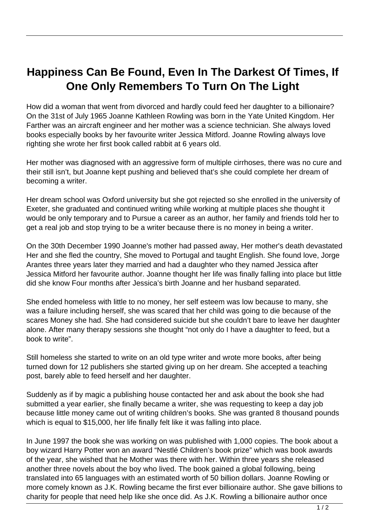## **Happiness Can Be Found, Even In The Darkest Of Times, If One Only Remembers To Turn On The Light**

How did a woman that went from divorced and hardly could feed her daughter to a billionaire? On the 31st of July 1965 Joanne Kathleen Rowling was born in the Yate United Kingdom. Her Farther was an aircraft engineer and her mother was a science technician. She always loved books especially books by her favourite writer Jessica Mitford. Joanne Rowling always love righting she wrote her first book called rabbit at 6 years old.

Her mother was diagnosed with an aggressive form of multiple cirrhoses, there was no cure and their still isn't, but Joanne kept pushing and believed that's she could complete her dream of becoming a writer.

Her dream school was Oxford university but she got rejected so she enrolled in the university of Exeter, she graduated and continued writing while working at multiple places she thought it would be only temporary and to Pursue a career as an author, her family and friends told her to get a real job and stop trying to be a writer because there is no money in being a writer.

On the 30th December 1990 Joanne's mother had passed away, Her mother's death devastated Her and she fled the country, She moved to Portugal and taught English. She found love, Jorge Arantes three years later they married and had a daughter who they named Jessica after Jessica Mitford her favourite author. Joanne thought her life was finally falling into place but little did she know Four months after Jessica's birth Joanne and her husband separated.

She ended homeless with little to no money, her self esteem was low because to many, she was a failure including herself, she was scared that her child was going to die because of the scares Money she had. She had considered suicide but she couldn't bare to leave her daughter alone. After many therapy sessions she thought "not only do I have a daughter to feed, but a book to write".

Still homeless she started to write on an old type writer and wrote more books, after being turned down for 12 publishers she started giving up on her dream. She accepted a teaching post, barely able to feed herself and her daughter.

Suddenly as if by magic a publishing house contacted her and ask about the book she had submitted a year earlier, she finally became a writer, she was requesting to keep a day job because little money came out of writing children's books. She was granted 8 thousand pounds which is equal to \$15,000, her life finally felt like it was falling into place.

In June 1997 the book she was working on was published with 1,000 copies. The book about a boy wizard Harry Potter won an award "Nestlé Children's book prize" which was book awards of the year, she wished that he Mother was there with her. Within three years she released another three novels about the boy who lived. The book gained a global following, being translated into 65 languages with an estimated worth of 50 billion dollars. Joanne Rowling or more comely known as J.K. Rowling became the first ever billionaire author. She gave billions to charity for people that need help like she once did. As J.K. Rowling a billionaire author once